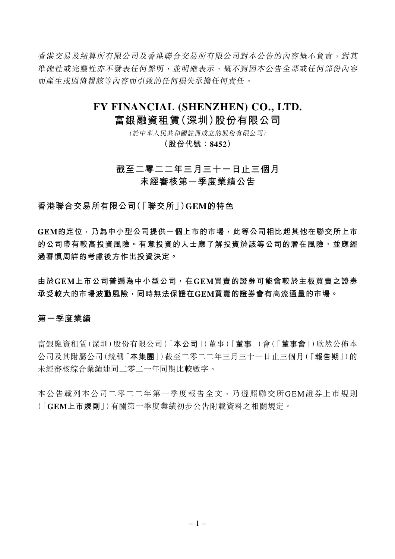香港交易及結算所有限公司及香港聯合交易所有限公司對本公告的內容概不負責,對其 準確性或完整性亦不發表任何聲明,並明確表示,概不對因本公告全部或任何部份內容 而產生或因倚賴該等內容而引致的任何損失承擔任何責任。

# **FY FINANCIAL (SHENZHEN) CO., LTD.**

# **富銀融資租賃(深圳)股份有限公司**

(於中華人民共和國註冊成立的股份有限公司)

**(股份代號:8452)**

# **截至二零二二年三月三十一日止三個月 未經審核第一季度業績公告**

**香港聯合交易所有限公司(「聯交所」)GEM的特色**

**GEM的定位,乃為中小型公司提供一個上市的市場,此等公司相比起其他在聯交所上市 的公司帶有較高投資風險。有意投資的人士應了解投資於該等公司的潛在風險,並應經 過審慎周詳的考慮後方作出投資決定。**

**由於GEM上市公司普遍為中小型公司,在GEM買賣的證券可能會較於主板買賣之證券 承受較大的市場波動風險,同時無法保證在GEM買賣的證券會有高流通量的市場。**

### **第一季度業績**

富銀融資租賃(深圳)股份有限公司(「**本公司**」)董事(「**董事**」)會(「**董事會**」)欣然公佈本 公司及其附屬公司(統稱「**本集團**」)截至二零二二年三月三十一日止三個月(「**報告期**」)的 未經審核綜合業績連同二零二一年同期比較數字。

本公告載列本公司二零二二年第一季度報告全文,乃遵照聯交所GEM證券上市規則 (「**GEM上市規則**」)有關第一季度業績初步公告附載資料之相關規定。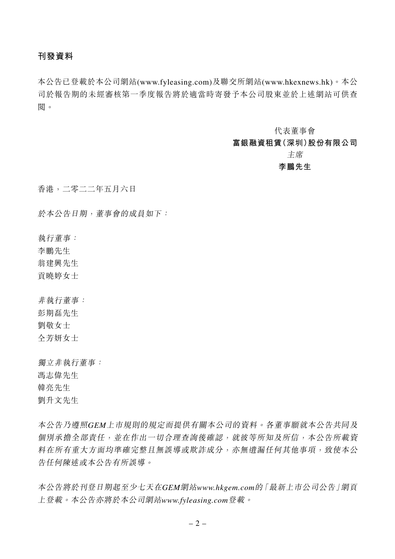# **刊發資料**

本公告已登載於本公司網站(www.fyleasing.com)及聯交所網站(www.hkexnews.hk)。本公 司於報告期的未經審核第一季度報告將於適當時寄發予本公司股東並於上述網站可供查 閱。

代表董事會

# **富銀融資租賃(深圳)股份有限公司**

主席

# **李鵬先生**

香港,二零二二年五月六日

於本公告日期,董事會的成員如下:

執行董事:

李鵬先生

翁建興先生

貢曉婷女士

非執行董事: 彭期磊先生 劉敬女士 仝芳妍女士

獨立非執行董事: 馮志偉先生 韓亮先生 劉升文先生

本公告乃遵照*GEM*上市規則的規定而提供有關本公司的資料。各董事願就本公告共同及 個別承擔全部責任,並在作出一切合理查詢後確認,就彼等所知及所信,本公告所載資 料在所有重大方面均準確完整且無誤導或欺詐成分,亦無遺漏任何其他事項,致使本公 告任何陳述或本公告有所誤導。

本公告將於刊登日期起至少七天在*GEM*網站*www.hkgem.com*的「最新上市公司公告」網頁 上登載。本公告亦將於本公司網站*www.fyleasing.com*登載。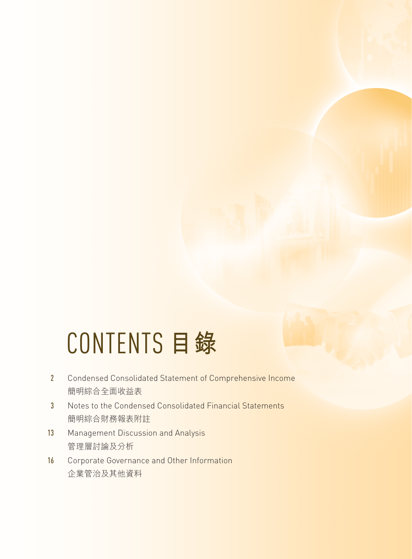# CONTENTS **目錄**

- 2 Condensed Consolidated Statement of Comprehensive Income 簡明綜合全面收益表
- 3 Notes to the Condensed Consolidated Financial Statements 簡明綜合財務報表附註
- 13 Management Discussion and Analysis 管理層討論及分析
- 16 Corporate Governance and Other Information 企業管治及其他資料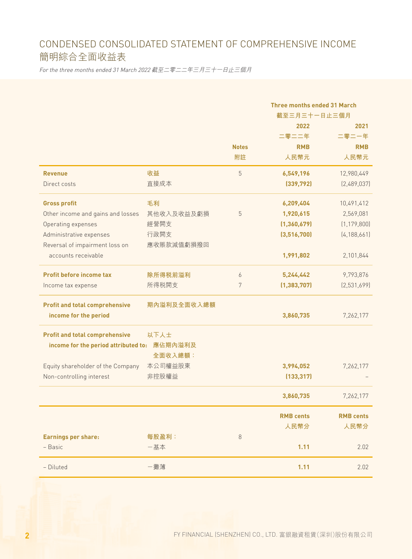# CONDENSED CONSOLIDATED STATEMENT OF COMPREHENSIVE INCOME 簡明綜合全面收益表

For the three months ended 31 March 2022 截至二零二二年三月三十一日止三個月

|                                              |             |              | <b>Three months ended 31 March</b> |                  |
|----------------------------------------------|-------------|--------------|------------------------------------|------------------|
|                                              |             |              | 截至三月三十一日止三個月                       |                  |
|                                              |             |              | 2022                               | 2021             |
|                                              |             |              | 二零二二年                              | 二零二一年            |
|                                              |             | <b>Notes</b> | <b>RMB</b>                         | <b>RMB</b>       |
|                                              |             | 附註           | 人民幣元                               | 人民幣元             |
| <b>Revenue</b>                               | 收益          | 5            | 6,549,196                          | 12,980,449       |
| Direct costs                                 | 直接成本        |              | (339, 792)                         | [2,489,037]      |
| <b>Gross profit</b>                          | 毛利          |              | 6,209,404                          | 10,491,412       |
| Other income and gains and losses            | 其他收入及收益及虧損  | 5            | 1,920,615                          | 2,569,081        |
| Operating expenses                           | 經營開支        |              | (1, 360, 679)                      | (1, 179, 800)    |
| Administrative expenses                      | 行政開支        |              | (3,516,700)                        | [4, 188, 661]    |
| Reversal of impairment loss on               | 應收賬款減值虧損撥回  |              |                                    |                  |
| accounts receivable                          |             |              | 1,991,802                          | 2,101,844        |
| <b>Profit before income tax</b>              | 除所得税前溢利     | 6            | 5,244,442                          | 9,793,876        |
| Income tax expense                           | 所得税開支       | 7            | (1, 383, 707)                      | (2,531,699)      |
| <b>Profit and total comprehensive</b>        | 期內溢利及全面收入總額 |              |                                    |                  |
| income for the period                        |             |              | 3,860,735                          | 7,262,177        |
| <b>Profit and total comprehensive</b>        | 以下人士        |              |                                    |                  |
| income for the period attributed to: 應佔期內溢利及 | 全面收入總額:     |              |                                    |                  |
| Equity shareholder of the Company            | 本公司權益股東     |              | 3,994,052                          | 7,262,177        |
| Non-controlling interest                     | 非控股權益       |              | (133, 317)                         |                  |
|                                              |             |              |                                    |                  |
|                                              |             |              | 3,860,735                          | 7,262,177        |
|                                              |             |              | <b>RMB cents</b>                   | <b>RMB cents</b> |
|                                              |             |              | 人民幣分                               | 人民幣分             |
| <b>Earnings per share:</b>                   | 每股盈利:       | 8            |                                    |                  |
| - Basic                                      | 一基本         |              | 1.11                               | 2.02             |
| - Diluted                                    | 一攤薄         |              | 1.11                               | 2.02             |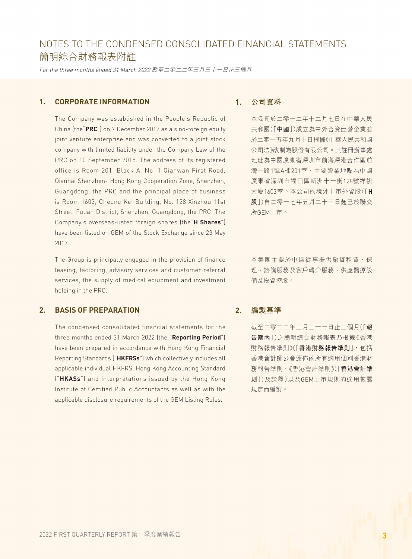For the three months ended 31 March 2022 截至二零二二年三月三十一日止三個月

### **1. CORPORATE INFORMATION**

The Company was established in the People's Republic of China (the"**PRC**") on 7 December 2012 as a sino-foreign equity joint venture enterprise and was converted to a joint stock company with limited liability under the Company Law of the PRC on 10 September 2015. The address of its registered office is Room 201, Block A, No. 1 Qianwan First Road, Qianhai Shenzhen- Hong Kong Cooperation Zone, Shenzhen, Guangdong, the PRC and the principal place of business is Room 1603, Cheung Kei Building, No. 128 Xinzhou 11st Street, Futian District, Shenzhen, Guangdong, the PRC. The Company's overseas-listed foreign shares (the"**H Shares**") have been listed on GEM of the Stock Exchange since 23 May 2017.

The Group is principally engaged in the provision of finance leasing, factoring, advisory services and customer referral services, the supply of medical equipment and investment holding in the PRC.

### **2. BASIS OF PREPARATION**

The condensed consolidated financial statements for the three months ended 31 March 2022 (the "**Reporting Period**") have been prepared in accordance with Hong Kong Financial Reporting Standards ("**HKFRSs**") which collectively includes all applicable individual HKFRS, Hong Kong Accounting Standard ("**HKASs**") and interpretations issued by the Hong Kong Institute of Certified Public Accountants as well as with the applicable disclosure requirements of the GEM Listing Rules.

### **1. 公司資料**

本公司於二零一二年十二月七日在中華人民 共和國(「**中國**」)成立為中外合資經營企業並 於二零一五年九月十日根據《中華人民共和國 公司法》改制為股份有限公司。其註冊辦事處 地址為中國廣東省深圳市前海深港合作區前 灣一路1號A棟201室,主要營業地點為中國 廣東省深圳市福田區新洲十一街128號祥祺 大廈1603室。本公司的境外上市外資股(「**H 股**」)自二零一七年五月二十三日起已於聯交 所GEM上市。

本集團主要於中國從事提供融資租賃、保 理、諮詢服務及客戶轉介服務、供應醫療設 備及投資控股。

#### **2. 編製基準**

截至二零二二年三月三十一日止三個月(「**報 告期內**」)之簡明綜合財務報表乃根據《香港 財務報告準則》(「**香港財務報告準則**」,包括 香港會計師公會頒佈的所有適用個別香港財 務報告準則、《香港會計準則》(「**香港會計準 則**」)及詮釋)以及GEM上市規則的適用披露 規定而編製。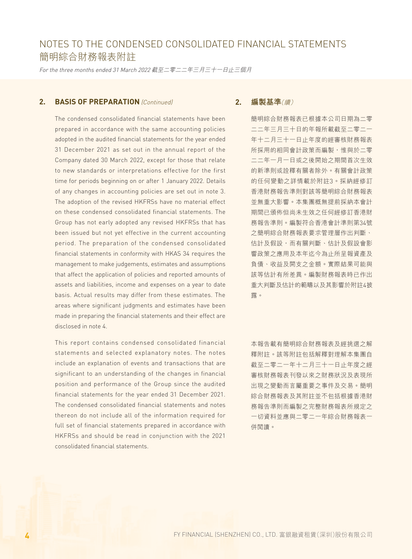For the three months ended 31 March 2022 截至二零二二年三月三十一日止三個月

### **2. BASIS OF PREPARATION** (Continued)

The condensed consolidated financial statements have been prepared in accordance with the same accounting policies adopted in the audited financial statements for the year ended 31 December 2021 as set out in the annual report of the Company dated 30 March 2022, except for those that relate to new standards or interpretations effective for the first time for periods beginning on or after 1 January 2022. Details of any changes in accounting policies are set out in note 3. The adoption of the revised HKFRSs have no material effect on these condensed consolidated financial statements. The Group has not early adopted any revised HKFRSs that has been issued but not yet effective in the current accounting period. The preparation of the condensed consolidated financial statements in conformity with HKAS 34 requires the management to make judgements, estimates and assumptions that affect the application of policies and reported amounts of assets and liabilities, income and expenses on a year to date basis. Actual results may differ from these estimates. The areas where significant judgments and estimates have been made in preparing the financial statements and their effect are disclosed in note 4.

This report contains condensed consolidated financial statements and selected explanatory notes. The notes include an explanation of events and transactions that are significant to an understanding of the changes in financial position and performance of the Group since the audited financial statements for the year ended 31 December 2021. The condensed consolidated financial statements and notes thereon do not include all of the information required for full set of financial statements prepared in accordance with HKFRSs and should be read in conjunction with the 2021 consolidated financial statements.

### **2. 編製基準**(續)

簡明綜合財務報表已根據本公司日期為二零 二二年三月三十日的年報所載截至二零二一 年十二月三十一日止年度的經審核財務報表 所採用的相同會計政策而編製,惟與於二零 二二年一月一日或之後開始之期間首次生效 的新準則或詮釋有關者除外。有關會計政策 的任何變動之詳情載於附註3。採納經修訂 香港財務報告準則對該等簡明綜合財務報表 並無重大影響。本集團概無提前採納本會計 期間已頒佈但尚未生效之任何經修訂香港財 務報告準則。編製符合香港會計準則第34號 之簡明綜合財務報表要求管理層作出判斷、 估計及假設,而有關判斷、估計及假設會影 響政策之應用及本年迄今為止所呈報資產及 負債、收益及開支之金額。實際結果可能與 該等估計有所差異。編製財務報表時已作出 重大判斷及估計的範疇以及其影響於附註4披 露。

本報告載有簡明綜合財務報表及經挑選之解 釋附註。該等附註包括解釋對理解本集團自 截至二零二一年十二月三十一日止年度之經 審核財務報表刊發以來之財務狀況及表現所 出現之變動而言屬重要之事件及交易。簡明 綜合財務報表及其附註並不包括根據香港財 務報告準則而編製之完整財務報表所規定之 一切資料並應與二零二一年綜合財務報表一 併閱讀。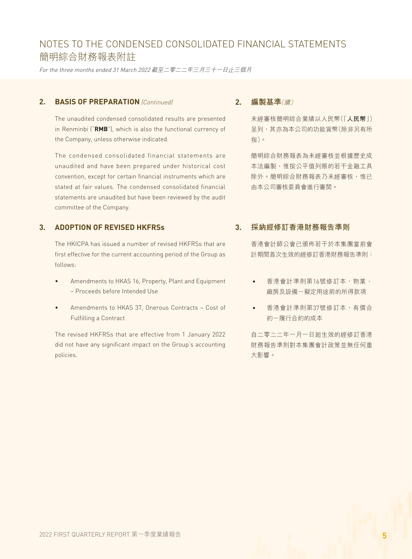For the three months ended 31 March 2022 截至二零二二年三月三十一日止三個月

### **2. BASIS OF PREPARATION** (Continued)

The unaudited condensed consolidated results are presented in Renminbi ("**RMB**"), which is also the functional currency of the Company, unless otherwise indicated.

The condensed consolidated financial statements are unaudited and have been prepared under historical cost convention, except for certain financial instruments which are stated at fair values. The condensed consolidated financial statements are unaudited but have been reviewed by the audit committee of the Company.

### **3. ADOPTION OF REVISED HKFRSs**

The HKICPA has issued a number of revised HKFRSs that are first effective for the current accounting period of the Group as follows:

- Amendments to HKAS 16, Property, Plant and Equipment – Proceeds before Intended Use
- Amendments to HKAS 37, Onerous Contracts Cost of Fulfilling a Contract

The revised HKFRSs that are effective from 1 January 2022 did not have any significant impact on the Group's accounting policies.

### **2. 編製基準**(續)

未經審核簡明綜合業績以人民幣(「**人民幣**」) 呈列,其亦為本公司的功能貨幣(除非另有所 指)。

簡明綜合財務報表為未經審核並根據歷史成 本法編製,惟按公平值列賬的若干金融工具 除外。簡明綜合財務報表乃未經審核,惟已 由本公司審核委員會進行審閱。

### **3. 採納經修訂香港財務報告準則**

香港會計師公會已頒佈若干於本集團當前會 計期間首次生效的經修訂香港財務報告準則:

- • 香港會計準則第16號修訂本,物業、 廠房及設備-擬定用途前的所得款項
- • 香港會計準則第37號修訂本,有償合 約-履行合約的成本

自二零二二年一月一日起生效的經修訂香港 財務報告準則對本集團會計政策並無任何重 大影響。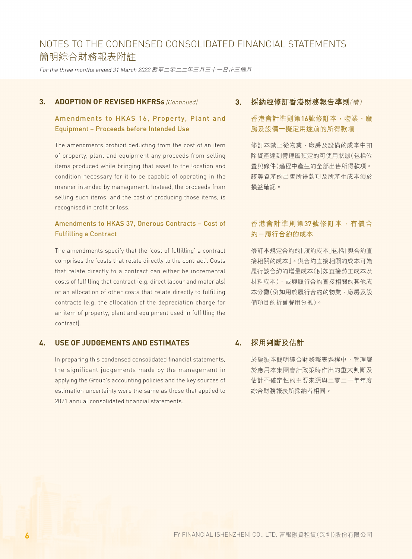For the three months ended 31 March 2022 截至二零二二年三月三十一日止三個月

### **3. ADOPTION OF REVISED HKFRSs** (Continued)

# Amendments to HKAS 16, Property, Plant and Equipment – Proceeds before Intended Use

The amendments prohibit deducting from the cost of an item of property, plant and equipment any proceeds from selling items produced while bringing that asset to the location and condition necessary for it to be capable of operating in the manner intended by management. Instead, the proceeds from selling such items, and the cost of producing those items, is recognised in profit or loss.

### Amendments to HKAS 37, Onerous Contracts – Cost of Fulfilling a Contract

The amendments specify that the 'cost of fulfilling' a contract comprises the 'costs that relate directly to the contract'. Costs that relate directly to a contract can either be incremental costs of fulfilling that contract (e.g. direct labour and materials) or an allocation of other costs that relate directly to fulfilling contracts (e.g. the allocation of the depreciation charge for an item of property, plant and equipment used in fulfilling the contract).

### **4. USE OF JUDGEMENTS AND ESTIMATES**

In preparing this condensed consolidated financial statements, the significant judgements made by the management in applying the Group's accounting policies and the key sources of estimation uncertainty were the same as those that applied to 2021 annual consolidated financial statements.

### **3. 採納經修訂香港財務報告準則**(續)

## 香港會計準則第16號修訂本,物業、廠 房及設備—擬定用途前的所得款項

修訂本禁止從物業、廠房及設備的成本中扣 除資產達到管理層預定的可使用狀態(包括位 置與條件)過程中產生的全部出售所得款項。 該等資產的出售所得款項及所產生成本須於 損益確認。

### 香港會計準則第37號修訂本,有償合 約-履行合約的成本

修訂本規定合約的「履約成本」包括「與合約直 接相關的成本」。與合約直接相關的成本可為 履行該合約的增量成本(例如直接勞工成本及 材料成本),或與履行合約直接相關的其他成 本分攤(例如用於履行合約的物業、廠房及設 備項目的折舊費用分攤)。

### **4. 採用判斷及估計**

於編製本簡明綜合財務報表過程中,管理層 於應用本集團會計政策時作出的重大判斷及 估計不確定性的主要來源與二零二一年年度 綜合財務報表所採納者相同。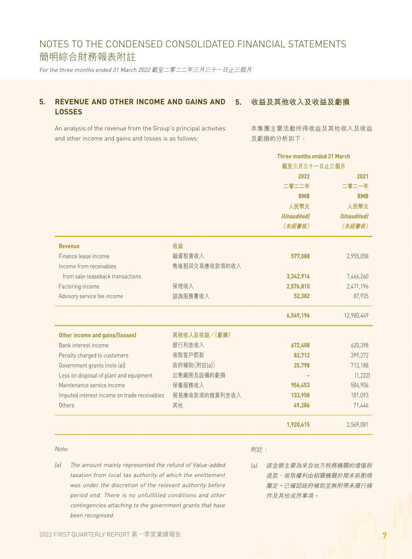For the three months ended 31 March 2022 截至二零二二年三月三十一日止三個月

#### **5. REVENUE AND OTHER INCOME AND GAINS AND LOSSES 5. 收益及其他收入及收益及虧損**

An analysis of the revenue from the Group's principal activities and other income and gains and losses is as follows:

本集團主要活動所得收益及其他收入及收益 及虧損的分析如下:

| <b>Three months ended 31 March</b> |
|------------------------------------|
|                                    |
| 2021                               |
| 二零二一年                              |
| <b>RMB</b>                         |
| 人民幣元                               |
| (Unaudited)                        |
| (未經審核)                             |
|                                    |
| 2,955,058                          |
|                                    |
| 7,466,260                          |
| 2,471,196                          |
| 87,935                             |
| 12,980,449                         |
|                                    |
| 620,398                            |
| 399,272                            |
| 713,188                            |
| (1, 222)                           |
| 584,906                            |
| 181,093                            |
| 71,446                             |
| 2,569,081                          |
|                                    |

#### Note:

附註:

- (a) The amount mainly represented the refund of Value-added taxation from local tax authority of which the entitlement was under the discretion of the relevant authority before period end. There is no unfulfilled conditions and other contingencies attaching to the government grants that have been recognised.
- (a) 該金額主要為來自地方稅務機關的增值稅 退款,收取權利由相關機關於期末前酌情 釐定。已確認政府補助並無附帶未履行條 件及其他或然事項。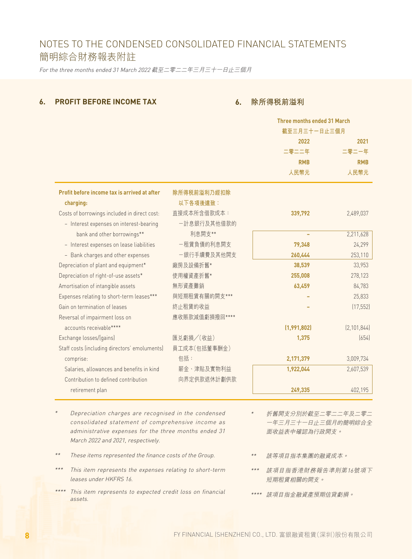For the three months ended 31 March 2022 截至二零二二年三月三十一日止三個月

### **6. PROFIT BEFORE INCOME TAX**

### **6. 除所得稅前溢利**

|                                               |                | Three months ended 31 March |               |
|-----------------------------------------------|----------------|-----------------------------|---------------|
|                                               |                | 截至三月三十一日止三個月                |               |
|                                               |                | 2022                        | 2021          |
|                                               |                | 二零二二年                       | 二零二一年         |
|                                               |                | <b>RMB</b>                  | <b>RMB</b>    |
|                                               |                | 人民幣元                        | 人民幣元          |
| Profit before income tax is arrived at after  | 除所得税前溢利乃經扣除    |                             |               |
| charging:                                     | 以下各項後達致:       |                             |               |
| Costs of borrowings included in direct cost:  | 直接成本所含借款成本:    | 339,792                     | 2,489,037     |
| - Interest expenses on interest-bearing       | 一計息銀行及其他借款的    |                             |               |
| bank and other borrowings**                   | 利息開支**         |                             | 2,211,628     |
| - Interest expenses on lease liabilities      | 一租賃負債的利息開支     | 79,348                      | 24,299        |
| - Bank charges and other expenses             | 一銀行手續費及其他開支    | 260,444                     | 253,110       |
| Depreciation of plant and equipment*          | 廠房及設備折舊*       | 38,539                      | 33,953        |
| Depreciation of right-of-use assets*          | 使用權資產折舊*       | 255,008                     | 278,123       |
| Amortisation of intangible assets             | 無形資產攤銷         | 63,459                      | 84,783        |
| Expenses relating to short-term leases***     | 與短期租賃有關的開支***  |                             | 25,833        |
| Gain on termination of leases                 | 終止租賃的收益        |                             | (17, 552)     |
| Reversal of impairment loss on                | 應收賬款減值虧損撥回**** |                             |               |
| accounts receivable****                       |                | (1,991,802)                 | [2, 101, 844] |
| Exchange losses/(gains)                       | 匯兑虧損/(收益)      | 1,375                       | (654)         |
| Staff costs (including directors' emoluments) | 員工成本(包括董事酬金)   |                             |               |
| comprise:                                     | 包括:            | 2,171,379                   | 3,009,734     |
| Salaries, allowances and benefits in kind     | 薪金、津貼及實物利益     | 1,922,044                   | 2,607,539     |
| Contribution to defined contribution          | 向界定供款退休計劃供款    |                             |               |
| retirement plan                               |                | 249,335                     | 402,195       |

- \* Depreciation charges are recognised in the condensed consolidated statement of comprehensive income as administrative expenses for the three months ended 31 March 2022 and 2021, respectively.
- \*\*These items represented the finance costs of the Group.
- \*\*\* This item represents the expenses relating to short-term leases under HKFRS 16.
- \*\*\*\* This item represents to expected credit loss on financial assets.
- \* 折舊開支分別於截至二零二二年及二零二 一年三月三十一日止三個月的簡明綜合全 面收益表中確認為行政開支。
- \*\* 該等項目指本集團的融資成本。
- \*\*\* 該項目指香港財務報告準則第16號項下 短期租賃相關的開支。
- \*\*\*\* 該項目指金融資產預期信貸虧損。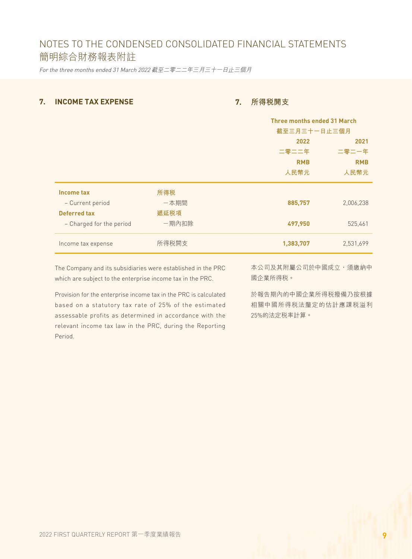For the three months ended 31 March 2022 截至二零二二年三月三十一日止三個月

### **7. INCOME TAX EXPENSE**

## **7. 所得稅開支**

|                          |       |            | <b>Three months ended 31 March</b> |
|--------------------------|-------|------------|------------------------------------|
|                          |       |            | 截至三月三十一日止三個月                       |
|                          |       | 2022       | 2021                               |
|                          |       | 二零二二年      | 二零二一年                              |
|                          |       | <b>RMB</b> | <b>RMB</b>                         |
|                          |       | 人民幣元       | 人民幣元                               |
| Income tax               | 所得税   |            |                                    |
| - Current period         | 一本期間  | 885,757    | 2,006,238                          |
| <b>Deferred tax</b>      | 遞延税項  |            |                                    |
| - Charged for the period | 一期內扣除 | 497,950    | 525,461                            |
| Income tax expense       | 所得税開支 | 1,383,707  | 2,531,699                          |
|                          |       |            |                                    |

The Company and its subsidiaries were established in the PRC which are subject to the enterprise income tax in the PRC.

Provision for the enterprise income tax in the PRC is calculated based on a statutory tax rate of 25% of the estimated assessable profits as determined in accordance with the relevant income tax law in the PRC, during the Reporting Period.

本公司及其附屬公司於中國成立,須繳納中 國企業所得稅。

於報告期內的中國企業所得稅撥備乃按根據 相關中國所得稅法釐定的估計應課稅溢利 25%的法定稅率計算。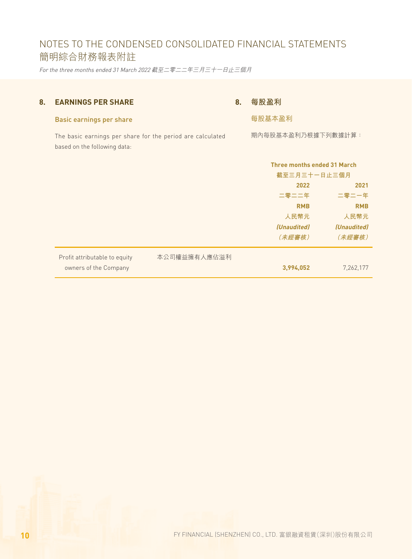For the three months ended 31 March 2022 截至二零二二年三月三十一日止三個月

## **8. EARNINGS PER SHARE**

# **8. 每股盈利**

每股基本盈利

期內每股基本盈利乃根據下列數據計算:

### Basic earnings per share

The basic earnings per share for the period are calculated based on the following data:

|                               |              | Three months ended 31 March<br>截至三月三十一日止三個月 |                    |
|-------------------------------|--------------|---------------------------------------------|--------------------|
|                               |              | 2022<br>2021                                |                    |
|                               |              | 二零二二年                                       | 二零二一年              |
|                               |              | <b>RMB</b>                                  | <b>RMB</b>         |
|                               |              | 人民幣元                                        | 人民幣元               |
|                               |              | <i>(Unaudited)</i>                          | <i>(Unaudited)</i> |
|                               |              | (未經審核)                                      | (未經審核)             |
| Profit attributable to equity | 本公司權益擁有人應佔溢利 |                                             |                    |
| owners of the Company         |              | 3,994,052                                   | 7,262,177          |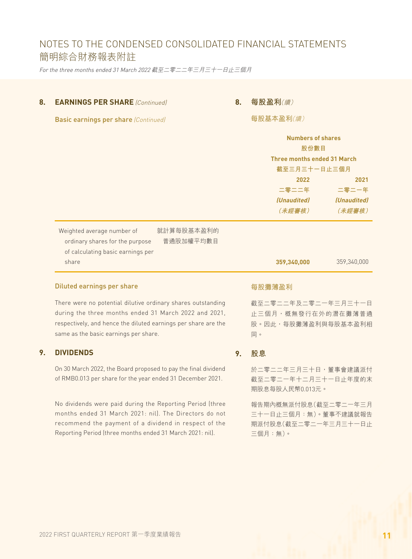For the three months ended 31 March 2022 截至二零二二年三月三十一日止三個月

### **8. EARNINGS PER SHARE** *(Continued)*

### **8. 每股盈利**(續)

Basic earnings per share (Continued)

每股基本盈利(續)

|                                                                                                                                        | <b>Numbers of shares</b><br>股份數目<br><b>Three months ended 31 March</b><br>截至三月三十一日止三個月 |                                               |
|----------------------------------------------------------------------------------------------------------------------------------------|----------------------------------------------------------------------------------------|-----------------------------------------------|
|                                                                                                                                        | 2022<br>二零二二年<br><i>(Unaudited)</i><br>(未經審核)                                          | 2021<br>二零二一年<br><i>(Unaudited)</i><br>(未經審核) |
| 就計算每股基本盈利的<br>Weighted average number of<br>普通股加權平均數目<br>ordinary shares for the purpose<br>of calculating basic earnings per<br>share | 359,340,000                                                                            | 359,340,000                                   |

### Diluted earnings per share

There were no potential dilutive ordinary shares outstanding during the three months ended 31 March 2022 and 2021, respectively, and hence the diluted earnings per share are the same as the basic earnings per share.

### **9. DIVIDENDS**

On 30 March 2022, the Board proposed to pay the final dividend of RMB0.013 per share for the year ended 31 December 2021.

No dividends were paid during the Reporting Period (three months ended 31 March 2021: nil). The Directors do not recommend the payment of a dividend in respect of the Reporting Period (three months ended 31 March 2021: nil).

每股攤薄盈利

截至二零二二年及二零二一年三月三十一日 止三個月,概無發行在外的潛在攤薄普通 股。因此,每股攤薄盈利與每股基本盈利相 同。

**9. 股息**

於二零二二年三月三十日,董事會建議派付 截至二零二一年十二月三十一日止年度的末 期股息每股人民幣0.013元。

報告期內概無派付股息(截至二零二一年三月 三十一日止三個月:無)。董事不建議就報告 期派付股息(截至二零二一年三月三十一日止 三個月:無)。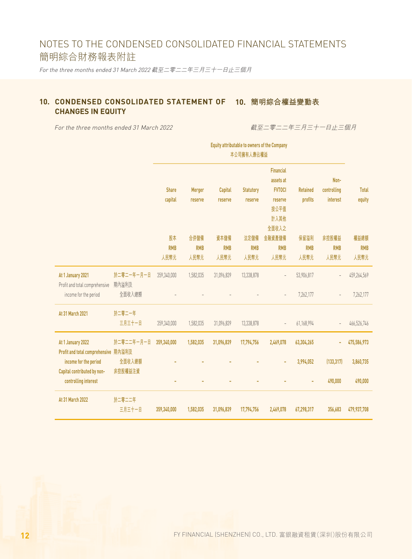For the three months ended 31 March 2022 截至二零二二年三月三十一日止三個月

### **10. CONDENSED CONSOLIDATED STATEMENT OF 10. 簡明綜合權益變動表 CHANGES IN EQUITY**

For the three months ended 31 March 2022

截至二零二二年三月三十一日止三個月

|                                                                              |                               | <b>Equity attributable to owners of the Company</b><br>本公司擁有人應佔權益 |                            |                            |                            |                                                |                            |                             |                            |
|------------------------------------------------------------------------------|-------------------------------|-------------------------------------------------------------------|----------------------------|----------------------------|----------------------------|------------------------------------------------|----------------------------|-----------------------------|----------------------------|
|                                                                              |                               | <b>Share</b>                                                      | <b>Merger</b>              | <b>Capital</b>             | <b>Statutory</b>           | <b>Financial</b><br>assets at<br><b>FVTOCI</b> | <b>Retained</b>            | Non-<br>controlling         | <b>Total</b>               |
|                                                                              |                               | capital                                                           | reserve                    | reserve                    | reserve                    | reserve<br>按公平值<br>計入其他<br>全面收入之               | profits                    | interest                    | equity                     |
|                                                                              |                               | 股本<br><b>RMB</b><br>人民幣元                                          | 合併儲備<br><b>RMB</b><br>人民幣元 | 資本儲備<br><b>RMB</b><br>人民幣元 | 法定儲備<br><b>RMB</b><br>人民幣元 | 金融資產儲備<br><b>RMB</b><br>人民幣元                   | 保留溢利<br><b>RMB</b><br>人民幣元 | 非控股權益<br><b>RMB</b><br>人民幣元 | 權益總額<br><b>RMB</b><br>人民幣元 |
| At 1 January 2021<br>Profit and total comprehensive<br>income for the period | 於二零二一年一月一日<br>期内溢利及<br>全面收入總額 | 359,340,000                                                       | 1,582,035                  | 31,096,839                 | 13,338,878                 | $\overline{a}$                                 | 53,906,817<br>7,262,177    |                             | 459,264,569<br>7,262,177   |
| At 31 March 2021                                                             | 於二零二一年<br>三月三十一日              | 359,340,000                                                       | 1,582,035                  | 31,096,839                 | 13,338,878                 | $\overline{\phantom{a}}$                       | 61,168,994                 |                             | 466,526,746                |
| At 1 January 2022<br>Profit and total comprehensive 期內溢利及                    | 於二零二二年一月一日                    | 359,340,000                                                       | 1,582,035                  | 31,096,839                 | 17,794,756                 | 2,469,078                                      | 63,304,265                 |                             | 475,586,973                |
| income for the period<br>Capital contributed by non-<br>controlling interest | 全面收入總額<br>非控股權益注資             |                                                                   |                            |                            |                            | ÷                                              | 3,994,052                  | (133, 317)<br>490,000       | 3,860,735<br>490,000       |
| At 31 March 2022                                                             | 於二零二二年<br>三月三十一日              | 359,340,000                                                       | 1,582,035                  | 31,096,839                 | 17,794,756                 | 2,469,078                                      | 67,298,317                 | 356,683                     | 479,937,708                |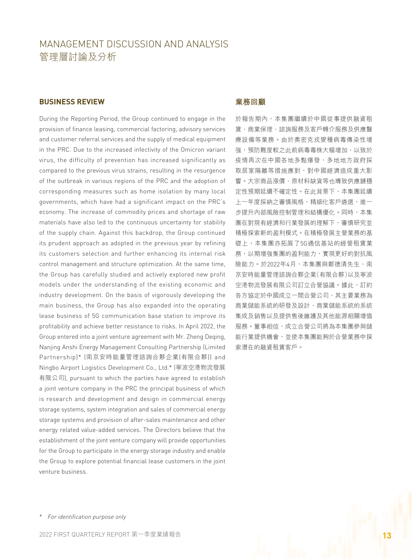# MANAGEMENT DISCUSSION AND ANALYSIS 管理層討論及分析

### **BUSINESS REVIEW**

During the Reporting Period, the Group continued to engage in the provision of finance leasing, commercial factoring, advisory services and customer referral services and the supply of medical equipment in the PRC. Due to the increased infectivity of the Omicron variant virus, the difficulty of prevention has increased significantly as compared to the previous virus strains, resulting in the resurgence of the outbreak in various regions of the PRC and the adoption of corresponding measures such as home isolation by many local governments, which have had a significant impact on the PRC's economy. The increase of commodity prices and shortage of raw materials have also led to the continuous uncertainty for stability of the supply chain. Against this backdrop, the Group continued its prudent approach as adopted in the previous year by refining its customers selection and further enhancing its internal risk control management and structure optimization. At the same time, the Group has carefully studied and actively explored new profit models under the understanding of the existing economic and industry development. On the basis of vigorously developing the main business, the Group has also expanded into the operating lease business of 5G communication base station to improve its profitability and achieve better resistance to risks. In April 2022, the Group entered into a joint venture agreement with Mr. Zheng Deqing, Nanjing Anshi Energy Management Consulting Partnership (Limited Partnership)\* (南京安時能量管理諮詢合夥企業(有限合夥)) and Ningbo Airport Logistics Development Co., Ltd.\* (寧波空港物流發展 有限公司), pursuant to which the parties have agreed to establish a joint venture company in the PRC the principal business of which is research and development and design in commercial energy storage systems, system integration and sales of commercial energy storage systems and provision of after-sales maintenance and other energy related value-added services. The Directors believe that the establishment of the joint venture company will provide opportunities for the Group to participate in the energy storage industry and enable the Group to explore potential financial lease customers in the joint venture business.

### **業務回顧**

於報告期內,本集團繼續於中國從事提供融資租 賃、商業保理、諮詢服務及客戶轉介服務及供應醫 療設備等業務。由於奧密克戎變種病毒傳染性增 強,預防難度較之此前病毒毒株大幅增加,以致於 疫情再次在中國各地多點爆發,多地地方政府採 取居家隔離等措施應對,對中國經濟造成重大影 響。大宗商品漲價、原材料缺貨等也導致供應鏈穩 定性預期延續不確定性。在此背景下,本集團延續 上一年度採納之審慎風格,精細化客戶遴選,進一 步提升內部風險控制管理和結構優化。同時,本集 團在對現有經濟和行業發展的理解下,審慎研究並 積極探索新的盈利模式。在積極發展主營業務的基 礎上,本集團亦拓展了5G通信基站的經營租賃業 務,以期增強集團的盈利能力,實現更好的對抗風 險能力。於2022年4月,本集團與鄭德清先生、南 京安時能量管理諮詢合夥企業(有限合夥)以及寧波 空港物流發展有限公司訂立合營協議。據此,訂約 各方協定於中國成立一間合營公司,其主要業務為 商業儲能系統的研發及設計、商業儲能系統的系統 集成及銷售以及提供售後維護及其他能源相關增值 服務。董事相信,成立合營公司將為本集團參與儲 能行業提供機會,並使本集團能夠於合營業務中探 索潛在的融資租賃客戶。

\* For identification purpose only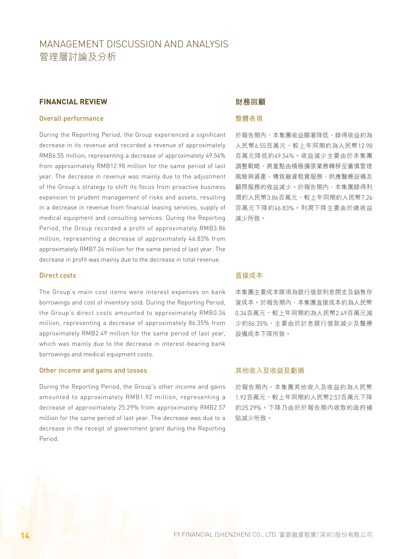# MANAGEMENT DISCUSSION AND ANALYSIS 管理層討論及分析

### **FINANCIAL REVIEW**

#### Overall performance

During the Reporting Period, the Group experienced a significant decrease in its revenue and recorded a revenue of approximately RMB6.55 million, representing a decrease of approximately 49.54% from approximately RMB12.98 million for the same period of last year. The decrease in revenue was mainly due to the adjustment of the Group's strategy to shift its focus from proactive business expansion to prudent management of risks and assets, resulting in a decrease in revenue from financial leasing services, supply of medical equipment and consulting services. During the Reporting Period, the Group recorded a profit of approximately RMB3.86 million, representing a decrease of approximately 46.83% from approximately RMB7.26 million for the same period of last year. The decrease in profit was mainly due to the decrease in total revenue.

#### Direct costs

The Group's main cost items were interest expenses on bank borrowings and cost of inventory sold. During the Reporting Period, the Group's direct costs amounted to approximately RMB0.34 million, representing a decrease of approximately 86.35% from approximately RMB2.49 million for the same period of last year, which was mainly due to the decrease in interest-bearing bank borrowings and medical equipment costs.

#### Other income and gains and losses

During the Reporting Period, the Group's other income and gains amounted to approximately RMB1.92 million, representing a decrease of approximately 25.29% from approximately RMB2.57 million for the same period of last year. The decrease was due to a decrease in the receipt of government grant during the Reporting Period.

### **財務回顧**

### 整體表現

於報告期內,本集團收益顯著降低,錄得收益約為 人民幣6.55百萬元,較上年同期約為人民幣12.98 百萬元降低約49.54%。收益減少主要由於本集團 調整戰略,將重點由積極擴張業務轉移至審慎管理 風險與資產,導致融資和賃服務、供應醫療設備及 顧問服務的收益減少。於報告期內,本集團錄得利 潤約人民幣3.86百萬元,較上年同期約人民幣7.26 百萬元下降約46.83%。利潤下降主要由於總收益 減少所致。

### 直接成本

本集團主要成本賬項為銀行借款利息開支及銷售存 貨成本。於報告期內,本集團直接成本約為人民幣 0.34百萬元,較上年同期約為人民幣2.49百萬元減 少約86.35%,主要由於計息銀行借款減少及醫療 設備成本下降所致。

#### 其他收入及收益及虧損

於報告期內,本集團其他收入及收益約為人民幣 1.92百萬元,較上年同期約人民幣2.57百萬元下降 約25.29%。下降乃由於於報告期內收取的政府補 貼減少所致。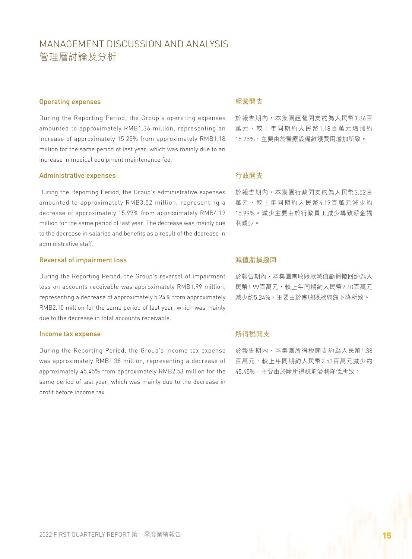# MANAGEMENT DISCUSSION AND ANALYSIS 管理層討論及分析

#### Operating expenses

During the Reporting Period, the Group's operating expenses amounted to approximately RMB1.36 million, representing an increase of approximately 15.25% from approximately RMB1.18 million for the same period of last year, which was mainly due to an increase in medical equipment maintenance fee.

#### Administrative expenses

During the Reporting Period, the Group's administrative expenses amounted to approximately RMB3.52 million, representing a decrease of approximately 15.99% from approximately RMB4.19 million for the same period of last year. The decrease was mainly due to the decrease in salaries and benefits as a result of the decrease in administrative staff.

#### Reversal of impairment loss

During the Reporting Period, the Group's reversal of impairment loss on accounts receivable was approximately RMB1.99 million, representing a decrease of approximately 5.24% from approximately RMB2.10 million for the same period of last year, which was mainly due to the decrease in total accounts receivable.

#### Income tax expense

During the Reporting Period, the Group's income tax expense was approximately RMB1.38 million, representing a decrease of approximately 45.45% from approximately RMB2.53 million for the same period of last year, which was mainly due to the decrease in profit before income tax.

#### 經營開支

於報告期內,本集團經營開支約為人民幣1.36百 萬元,較上年同期約人民幣1.18百萬元增加約 15.25%,主要由於醫療設備維護費用增加所致。

#### 行政開支

於報告期內,本集團行政開支約為人民幣3.52百 萬元,較上年同期約人民幣4.19百萬元減少約 15.99%。減少主要由於行政員工減少導致薪金福 利減少。

### 減值虧損撥回

於報告期內,本集團應收賬款減值虧損撥回約為人 民幣1.99百萬元,較上年同期約人民幣2.10百萬元 減少約5.24%,主要由於應收賬款總額下降所致。

### 所得稅開支

於報告期內,本集團所得税開支約為人民幣1.38 百萬元,較上年同期約人民幣2.53百萬元減少約 45.45%,主要由於除所得稅前溢利降低所致。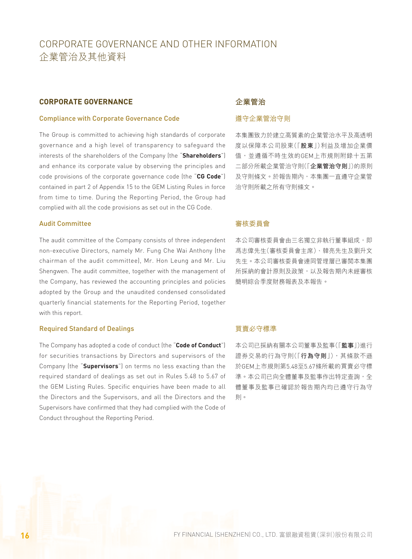#### **CORPORATE GOVERNANCE**

#### Compliance with Corporate Governance Code

The Group is committed to achieving high standards of corporate governance and a high level of transparency to safeguard the interests of the shareholders of the Company (the "**Shareholders**") and enhance its corporate value by observing the principles and code provisions of the corporate governance code (the "**CG Code**") contained in part 2 of Appendix 15 to the GEM Listing Rules in force from time to time. During the Reporting Period, the Group had complied with all the code provisions as set out in the CG Code.

#### Audit Committee

The audit committee of the Company consists of three independent non-executive Directors, namely Mr. Fung Che Wai Anthony (the chairman of the audit committee), Mr. Hon Leung and Mr. Liu Shengwen. The audit committee, together with the management of the Company, has reviewed the accounting principles and policies adopted by the Group and the unaudited condensed consolidated quarterly financial statements for the Reporting Period, together with this report.

#### Required Standard of Dealings

The Company has adopted a code of conduct (the "**Code of Conduct**") for securities transactions by Directors and supervisors of the Company (the "**Supervisors**") on terms no less exacting than the required standard of dealings as set out in Rules 5.48 to 5.67 of the GEM Listing Rules. Specific enquiries have been made to all the Directors and the Supervisors, and all the Directors and the Supervisors have confirmed that they had complied with the Code of Conduct throughout the Reporting Period.

### **企業管治**

### 遵守企業管治守則

本集團致力於建立高質素的企業管治水平及高透明 度以保障本公司股東(「**股東**」)利益及增加企業價 值,並遵循不時生效的GEM上市規則附錄十五第 二部分所載企業管治守則(「**企業管治守則**」)的原則 及守則條文。於報告期內,本集團一直遵守企業管 治守則所載之所有守則條文。

### 審核委員會

本公司審核委員會由三名獨立非執行董事組成,即 馮志偉先生(審核委員會主席)、韓亮先生及劉升文 先生。本公司審核委員會連同管理層已審閱本集團 所採納的會計原則及政策,以及報告期內未經審核 簡明綜合季度財務報表及本報告。

#### 買賣必守標準

本公司已採納有關本公司董事及監事(「**監事**」)進行 證券交易的行為守則(「**行為守則**」),其條款不遜 於GEM上市規則第5.48至5.67條所載的買賣必守標 準。本公司已向全體董事及監事作出特定查詢,全 體董事及監事已確認於報告期內均已遵守行為守 則。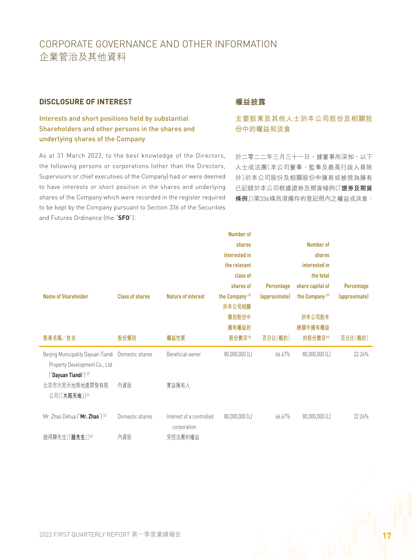### **DISCLOSURE OF INTEREST**

Interests and short positions held by substantial Shareholders and other persons in the shares and underlying shares of the Company

As at 31 March 2022, to the best knowledge of the Directors, the following persons or corporations (other than the Directors, Supervisors or chief executives of the Company) had or were deemed to have interests or short position in the shares and underlying shares of the Company which were recorded in the register required to be kept by the Company pursuant to Section 336 of the Securities and Futures Ordinance (the "**SFO**"):

# **權益披露**

# 主要股東及其他人士於本公司股份及相關股 份中的權益和淡倉

於二零二二年三月三十一日,據董事所深知,以下 人士或法團(本公司董事、監事及最高行政人員除 外)於本公司股份及相關股份中擁有或被視為擁有 已記錄於本公司根據證券及期貨條例(「**證券及期貨 條例**」)第336條而須備存的登記冊內之權益或淡倉:

|                                                                   |                        |                                         | <b>Number of</b>           |               |                            |               |
|-------------------------------------------------------------------|------------------------|-----------------------------------------|----------------------------|---------------|----------------------------|---------------|
|                                                                   |                        |                                         | shares                     |               | Number of                  |               |
|                                                                   |                        |                                         | interested in              |               | shares                     |               |
|                                                                   |                        |                                         | the relevant               |               | interested in              |               |
|                                                                   |                        |                                         | class of                   |               | the total                  |               |
|                                                                   |                        |                                         | shares of                  | Percentage    | share capital of           | Percentage    |
| <b>Name of Shareholder</b>                                        | <b>Class of shares</b> | <b>Nature of interest</b>               | the Company <sup>(1)</sup> | (approximate) | the Company <sup>(1)</sup> | (approximate) |
|                                                                   |                        |                                         | 於本公司相關                     |               |                            |               |
|                                                                   |                        |                                         | 類別股份中                      |               | 於本公司股本                     |               |
|                                                                   |                        |                                         | 擁有權益的                      |               | 總額中擁有權益                    |               |
| 股東名稱/姓名                                                           | 股份類別                   | 權益性質                                    | 股份數目(1)                    | 百分比(概約)       | 的股份數目(1)                   | 百分比(概約)       |
| Beijing Municipality Dayuan Tiandi                                | Domestic shares        | Beneficial owner                        | 80,000,000 (L)             | 66.67%        | 80,000,000 (L)             | 22.26%        |
| Property Development Co., Ltd.<br>"Dayuan Tiandi") <sup>[2]</sup> |                        |                                         |                            |               |                            |               |
| 北京市大苑天地房地產開發有限                                                    | 內資股                    | 實益擁有人                                   |                            |               |                            |               |
| 公司(「大苑天地」)[2]                                                     |                        |                                         |                            |               |                            |               |
|                                                                   |                        |                                         |                            |               |                            |               |
| Mr. Zhao Dehua ("Mr. Zhao") <sup>[2]</sup>                        | Domestic shares        | Interest of a controlled<br>corporation | $80,000,000$ (L)           | 66.67%        | $80,000,000$ (L)           | 22.26%        |
| 趙得驊先生(「趙先生」)⑵                                                     | 內資股                    | 受控法團的權益                                 |                            |               |                            |               |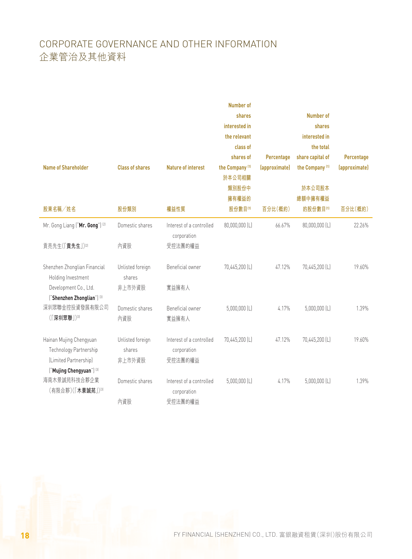|                                               |                        |                                         | <b>Number of</b><br>shares |               | Number of                  |               |
|-----------------------------------------------|------------------------|-----------------------------------------|----------------------------|---------------|----------------------------|---------------|
|                                               |                        |                                         | interested in              |               | shares                     |               |
|                                               |                        |                                         | the relevant               |               | interested in              |               |
|                                               |                        |                                         | class of                   |               | the total                  |               |
|                                               |                        |                                         | shares of                  | Percentage    | share capital of           | Percentage    |
| <b>Name of Shareholder</b>                    | <b>Class of shares</b> | <b>Nature of interest</b>               | the Company <sup>(1)</sup> | (approximate) | the Company <sup>(1)</sup> | (approximate) |
|                                               |                        |                                         | 於本公司相關                     |               |                            |               |
|                                               |                        |                                         | 類別股份中                      |               | 於本公司股本                     |               |
|                                               |                        |                                         | 擁有權益的                      |               | 總額中擁有權益                    |               |
| 股東名稱/姓名                                       | 股份類別                   | 權益性質                                    | 股份數目(1)                    | 百分比(概約)       | 的股份數目(1)                   | 百分比(概約)       |
| Mr. Gong Liang ("Mr. Gong") <sup>[2]</sup>    | Domestic shares        | Interest of a controlled<br>corporation | 80,000,000 (L)             | 66.67%        | 80,000,000 (L)             | 22.26%        |
| 貢亮先生(「貢先生」)(2)                                | 內資股                    | 受控法團的權益                                 |                            |               |                            |               |
| Shenzhen Zhonglian Financial                  | Unlisted foreign       | Beneficial owner                        | 70,445,200 (L)             | 47.12%        | 70,445,200 (L)             | 19.60%        |
| Holding Investment                            | shares                 |                                         |                            |               |                            |               |
| Development Co., Ltd.                         | 非上市外資股                 | 實益擁有人                                   |                            |               |                            |               |
| ["Shenzhen Zhonglian"] <sup>[3]</sup>         |                        |                                         |                            |               |                            |               |
| 深圳眾聯金控投資發展有限公司                                | Domestic shares        | Beneficial owner                        | $5,000,000$ (L)            | 4.17%         | $5,000,000$ (L)            | 1.39%         |
| (「深圳眾聯」)(3)                                   | 內資股                    | 實益擁有人                                   |                            |               |                            |               |
| Hainan Mujing Chengyuan                       | Unlisted foreign       | Interest of a controlled                | 70,445,200 (L)             | 47.12%        | 70,445,200 (L)             | 19.60%        |
| Technology Partnership                        | shares                 | corporation                             |                            |               |                            |               |
| (Limited Partnership)                         | 非上市外資股                 | 受控法團的權益                                 |                            |               |                            |               |
| ["Mujing Chengyuan"] <sup>[3]</sup>           |                        |                                         |                            |               |                            |               |
| 海南木景誠苑科技合夥企業<br>(有限合夥)(「木景誠苑」) <sup>[3]</sup> | Domestic shares        | Interest of a controlled<br>corporation | $5,000,000$ (L)            | 4.17%         | $5,000,000$ (L)            | 1.39%         |
|                                               | 內資股                    | 受控法團的權益                                 |                            |               |                            |               |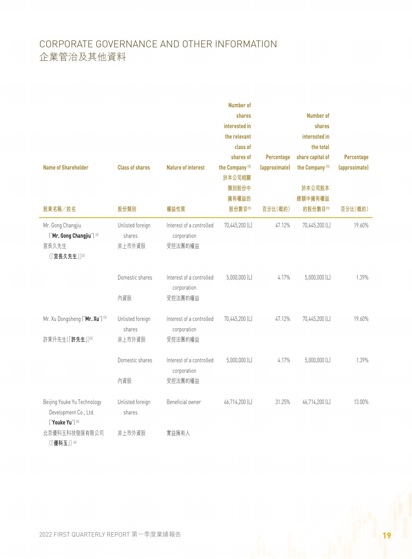|                                      |                        |                           | <b>Number of</b>           |               |                            |               |
|--------------------------------------|------------------------|---------------------------|----------------------------|---------------|----------------------------|---------------|
|                                      |                        |                           | shares                     |               | <b>Number of</b>           |               |
|                                      |                        |                           | interested in              |               | shares                     |               |
|                                      |                        |                           | the relevant               |               | interested in              |               |
|                                      |                        |                           | class of                   |               | the total                  |               |
|                                      |                        |                           | shares of                  | Percentage    | share capital of           | Percentage    |
| <b>Name of Shareholder</b>           | <b>Class of shares</b> | <b>Nature of interest</b> | the Company <sup>(1)</sup> | (approximate) | the Company <sup>(1)</sup> | (approximate) |
|                                      |                        |                           | 於本公司相關                     |               |                            |               |
|                                      |                        |                           | 類別股份中                      |               | 於本公司股本                     |               |
|                                      |                        |                           | 擁有權益的                      |               | 總額中擁有權益                    |               |
| 股東名稱/姓名                              | 股份類別                   | 權益性質                      | 股份數目(1)                    | 百分比(概約)       | 的股份數目(1)                   | 百分比(概約)       |
| Mr. Gong Changjiu                    | Unlisted foreign       | Interest of a controlled  | 70,445,200 (L)             | 47.12%        | 70,445,200 (L)             | 19.60%        |
| ["Mr. Gong Changjiu"] <sup>[3]</sup> | shares                 | corporation               |                            |               |                            |               |
| 宮長久先生                                | 非上市外資股                 | 受控法團的權益                   |                            |               |                            |               |
| (「宮長久先生」)<br>                        |                        |                           |                            |               |                            |               |
|                                      |                        |                           |                            |               |                            |               |
|                                      | Domestic shares        | Interest of a controlled  | $5,000,000$ (L)            | 4.17%         | $5,000,000$ (L)            | 1.39%         |
|                                      |                        | corporation               |                            |               |                            |               |
|                                      | 內資股                    | 受控法團的權益                   |                            |               |                            |               |
| Mr. Xu Dongsheng ("Mr. Xu") [3]      | Unlisted foreign       | Interest of a controlled  | 70,445,200 (L)             | 47.12%        | 70,445,200 (L)             | 19.60%        |
|                                      | shares                 | corporation               |                            |               |                            |               |
| 許東升先生(「許先生」)                         | 非上市外資股                 | 受控法團的權益                   |                            |               |                            |               |
|                                      |                        |                           |                            |               |                            |               |
|                                      | Domestic shares        | Interest of a controlled  | $5,000,000$ (L)            | 4.17%         | $5,000,000$ (L)            | 1.39%         |
|                                      |                        | corporation               |                            |               |                            |               |
|                                      | 內資股                    | 受控法團的權益                   |                            |               |                            |               |
|                                      |                        |                           |                            |               |                            |               |
| Beijing Youke Yu Technology          | Unlisted foreign       | Beneficial owner          | 46,714,200 (L)             | 31.25%        | 46,714,200 (L)             | 13.00%        |
| Development Co., Ltd.                | shares                 |                           |                            |               |                            |               |
| ["Youke Yu"] [4]                     |                        |                           |                            |               |                            |               |
| 北京優科玉科技發展有限公司                        | 非上市外資股                 | 實益擁有人                     |                            |               |                            |               |
| (「優科玉」)(4)                           |                        |                           |                            |               |                            |               |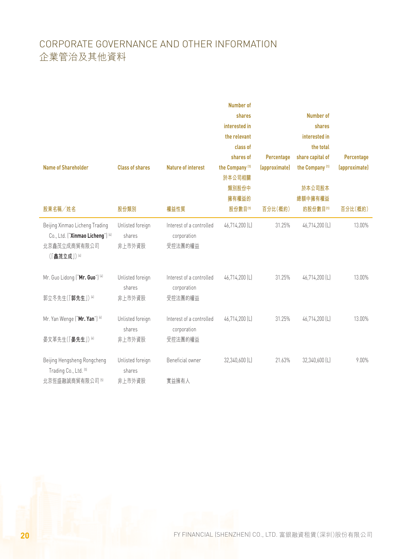| <b>Name of Shareholder</b>                                                                     | <b>Class of shares</b>               | <b>Nature of interest</b>                          | <b>Number of</b><br>shares<br>interested in<br>the relevant<br>class of<br>shares of<br>the Company <sup>(1)</sup><br>於本公司相關<br>類別股份中<br>擁有權益的 | Percentage<br>(approximate) | <b>Number of</b><br>shares<br>interested in<br>the total<br>share capital of<br>the Company <sup>(1)</sup><br>於本公司股本<br>總額中擁有權益 | Percentage<br>(approximate) |
|------------------------------------------------------------------------------------------------|--------------------------------------|----------------------------------------------------|------------------------------------------------------------------------------------------------------------------------------------------------|-----------------------------|---------------------------------------------------------------------------------------------------------------------------------|-----------------------------|
| 股東名稱/姓名                                                                                        | 股份類別                                 | 權益性質                                               | 股份數目(1)                                                                                                                                        | 百分比(概約)                     | 的股份數目(1)                                                                                                                        | 百分比(概約)                     |
| Beijing Xinmao Licheng Trading<br>Co., Ltd. ("Xinmao Licheng") [4]<br>北京鑫茂立成商貿有限公司<br>(「鑫茂立成」) | Unlisted foreign<br>shares<br>非上市外資股 | Interest of a controlled<br>corporation<br>受控法團的權益 | 46,714,200 (L)                                                                                                                                 | 31.25%                      | 46,714,200 (L)                                                                                                                  | 13.00%                      |
| Mr. Guo Lidong ("Mr. Guo") [4]<br>郭立冬先生(「郭先生」) [4]                                             | Unlisted foreign<br>shares<br>非上市外資股 | Interest of a controlled<br>corporation<br>受控法團的權益 | 46,714,200 (L)                                                                                                                                 | 31.25%                      | 46,714,200 (L)                                                                                                                  | 13.00%                      |
|                                                                                                |                                      |                                                    |                                                                                                                                                |                             |                                                                                                                                 |                             |
| Mr. Yan Wenge ("Mr. Yan") [4]                                                                  | Unlisted foreign<br>shares           | Interest of a controlled<br>corporation            | 46,714,200 (L)                                                                                                                                 | 31.25%                      | 46,714,200 (L)                                                                                                                  | 13.00%                      |
| 晏文革先生(「晏先生」)(4)                                                                                | 非上市外資股                               | 受控法團的權益                                            |                                                                                                                                                |                             |                                                                                                                                 |                             |
| Beijing Hengsheng Rongcheng<br>Trading Co., Ltd. [5]                                           | Unlisted foreign<br>shares           | Beneficial owner                                   | 32,340,600 (L)                                                                                                                                 | 21.63%                      | 32,340,600 (L)                                                                                                                  | 9.00%                       |
| 北京恆盛融誠商貿有限公司 5                                                                                 | 非上市外資股                               | 實益擁有人                                              |                                                                                                                                                |                             |                                                                                                                                 |                             |

**20 FINANCIAL (SHENZHEN) CO., LTD. 富銀融資租賃(深圳)股份有限公司**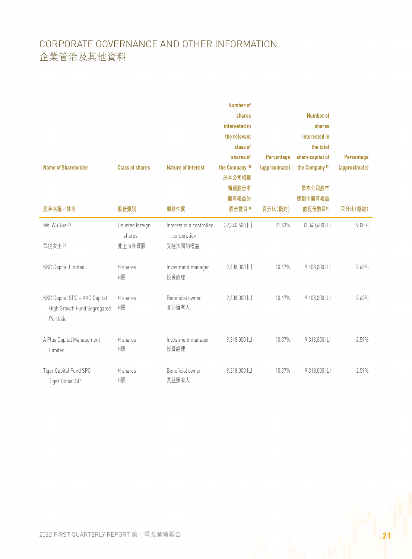| <b>Name of Shareholder</b>                                                | <b>Class of shares</b>               | <b>Nature of interest</b>                          | <b>Number of</b><br>shares<br>interested in<br>the relevant<br>class of<br>shares of<br>the Company <sup>(1)</sup><br>於本公司相關<br>類別股份中<br>擁有權益的 | Percentage<br>(approximate) | <b>Number of</b><br>shares<br>interested in<br>the total<br>share capital of<br>the Company <sup>(1)</sup><br>於本公司股本<br>總額中擁有權益 | Percentage<br>(approximate) |
|---------------------------------------------------------------------------|--------------------------------------|----------------------------------------------------|------------------------------------------------------------------------------------------------------------------------------------------------|-----------------------------|---------------------------------------------------------------------------------------------------------------------------------|-----------------------------|
| 股東名稱/姓名                                                                   | 股份類別                                 | 權益性質                                               | 股份數目(1)                                                                                                                                        | 百分比(概約)                     | 的股份數目(1)                                                                                                                        | 百分比(概約)                     |
| Ms. Wu Yue [5]<br>武悦女士 5                                                  | Unlisted foreign<br>shares<br>非上市外資股 | Interest of a controlled<br>corporation<br>受控法團的權益 | 32,340,600 (L)                                                                                                                                 | 21.63%                      | 32,340,600 (L)                                                                                                                  | $9.00\%$                    |
| <b>KKC Capital Limited</b>                                                | H shares<br>H股                       | Investment manager<br>投資經理                         | 9,408,000 (L)                                                                                                                                  | 10.47%                      | 9,408,000 (L)                                                                                                                   | 2.62%                       |
| KKC Capital SPC - KKC Capital<br>High Growth Fund Segregated<br>Portfolio | H shares<br>H股                       | Beneficial owner<br>實益擁有人                          | $9,408,000$ (L)                                                                                                                                | 10.47%                      | 9,408,000 (L)                                                                                                                   | 2.62%                       |
| A Plus Capital Management<br>Limited                                      | H shares<br>H股                       | Investment manager<br>投資經理                         | 9,318,000 (L)                                                                                                                                  | 10.37%                      | 9,318,000 (L)                                                                                                                   | 2.59%                       |
| Tiger Capital Fund SPC -<br>Tiger Global SP                               | H shares<br>H股                       | Beneficial owner<br>實益擁有人                          | 9,318,000 (L)                                                                                                                                  | 10.37%                      | 9,318,000 (L)                                                                                                                   | 2.59%                       |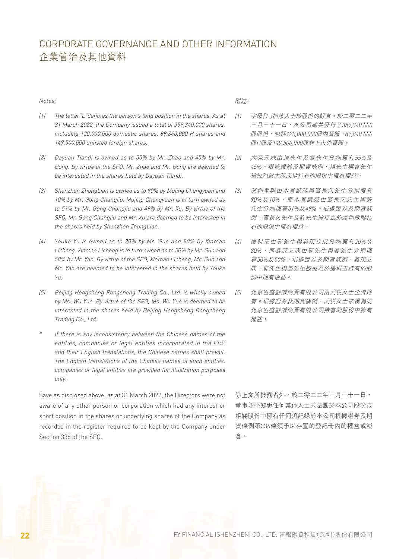#### Notes:

- (1) The letter"L"denotes the person's long position in the shares. As at 31 March 2022, the Company issued a total of 359,340,000 shares, including 120,000,000 domestic shares, 89,840,000 H shares and 149,500,000 unlisted foreign shares.
- (2) Dayuan Tiandi is owned as to 55% by Mr. Zhao and 45% by Mr. Gong. By virtue of the SFO, Mr. Zhao and Mr. Gong are deemed to be interested in the shares held by Dayuan Tiandi.
- (3) Shenzhen ZhongLian is owned as to 90% by Mujing Chengyuan and 10% by Mr. Gong Changjiu. Mujing Chengyuan is in turn owned as to 51% by Mr. Gong Changjiu and 49% by Mr. Xu. By virtue of the SFO, Mr. Gong Changjiu and Mr. Xu are deemed to be interested in the shares held by Shenzhen ZhongLian.
- (4) Youke Yu is owned as to 20% by Mr. Guo and 80% by Xinmao Licheng. Xinmao Licheng is in turn owned as to 50% by Mr. Guo and 50% by Mr. Yan. By virtue of the SFO, Xinmao Licheng, Mr. Guo and Mr. Yan are deemed to be interested in the shares held by Youke Yu.
- (5) Beijing Hengsheng Rongcheng Trading Co., Ltd. is wholly owned by Ms. Wu Yue. By virtue of the SFO, Ms. Wu Yue is deemed to be interested in the shares held by Beijing Hengsheng Rongcheng Trading Co., Ltd..
- \* If there is any inconsistency between the Chinese names of the entities, companies or legal entities incorporated in the PRC and their English translations, the Chinese names shall prevail. The English translations of the Chinese names of such entities, companies or legal entities are provided for illustration purposes only.

Save as disclosed above, as at 31 March 2022, the Directors were not aware of any other person or corporation which had any interest or short position in the shares or underlying shares of the Company as recorded in the register required to be kept by the Company under Section 336 of the SFO.

#### 附註:

- (1) 字母「L」指該人士於股份的好倉。於二零二二年 三月三十一日,本公司總共發行了359,340,000 股股份,包括120,000,000股內資股、89,840,000 股H股及149,500,000股非上市外資股。
- (2) 大苑天地由趙先生及貢先生分別擁有55%及 45%。根據證券及期貨條例,趙先生與貢先生 被視為於大苑天地持有的股份中擁有權益。
- (3) 深圳眾聯由木景誠苑與宮長久先生分別擁有 90%及10%,而木景誠苑由宮長久先生與許 先生分別擁有51%及49%。根據證券及期貨條 例,宮長久先生及許先生被視為於深圳眾聯持 有的股份中擁有權益。
- (4) 優科玉由郭先生與鑫茂立成分別擁有20%及 80%,而鑫茂立成由郭先生與晏先生分別擁 有50%及50%。根據證券及期貨條例,鑫茂立 成、郭先生與晏先生被視為於優科玉持有的股 份中擁有權益。
- (5) 北京恆盛融誠商貿有限公司由武悅女士全資擁 有。根據證券及期貨條例,武悦女士被視為於 北京恆盛融誠商貿有限公司持有的股份中擁有 權益。

除上文所披露者外,於二零二二年三月三十一日, 董事並不知悉任何其他人士或法團於本公司股份或 相關股份中擁有任何須記錄於本公司根據證券及期 貨條例第336條須予以存置的登記冊內的權益或淡 倉。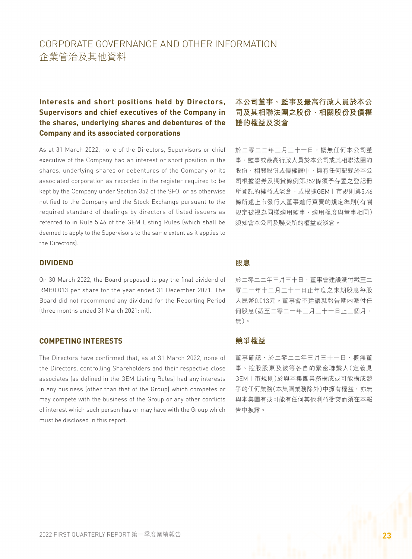# **Interests and short positions held by Directors, Supervisors and chief executives of the Company in the shares, underlying shares and debentures of the Company and its associated corporations**

As at 31 March 2022, none of the Directors, Supervisors or chief executive of the Company had an interest or short position in the shares, underlying shares or debentures of the Company or its associated corporation as recorded in the register required to be kept by the Company under Section 352 of the SFO, or as otherwise notified to the Company and the Stock Exchange pursuant to the required standard of dealings by directors of listed issuers as referred to in Rule 5.46 of the GEM Listing Rules (which shall be deemed to apply to the Supervisors to the same extent as it applies to the Directors).

### **DIVIDEND**

On 30 March 2022, the Board proposed to pay the final dividend of RMB0.013 per share for the year ended 31 December 2021. The Board did not recommend any dividend for the Reporting Period (three months ended 31 March 2021: nil).

#### **COMPETING INTERESTS**

The Directors have confirmed that, as at 31 March 2022, none of the Directors, controlling Shareholders and their respective close associates (as defined in the GEM Listing Rules) had any interests in any business (other than that of the Group) which competes or may compete with the business of the Group or any other conflicts of interest which such person has or may have with the Group which must be disclosed in this report.

# **本公司董事、監事及最高行政人員於本公 司及其相聯法團之股份、相關股份及債權 證的權益及淡倉**

於二零二二年三月三十一日,概無任何本公司董 事、監事或最高行政人員於本公司或其相聯法團的 股份、相關股份或債權證中,擁有任何記錄於本公 司根據證券及期貨條例第352條須予存置之登記冊 所登記的權益或淡倉,或根據GEM上市規則第5.46 條所述上市發行人董事進行買賣的規定準則(有關 規定被視為同樣適用監事,適用程度與董事相同) 須知會本公司及聯交所的權益或淡倉。

#### **股息**

於二零二二年三月三十日,董事會建議派付截至二 零二一年十二月三十一日止年度之末期股息每股 人民幣0.013元。董事會不建議就報告期內派付任 何股息(截至二零二一年三月三十一日止三個月: 無)。

#### **競爭權益**

董事確認,於二零二二年三月三十一日,概無董 事、控股股東及彼等各自的緊密聯繫人(定義見 GEM上市規則)於與本集團業務構成或可能構成競 爭的任何業務(本集團業務除外)中擁有權益,亦無 與本集團有或可能有任何其他利益衝突而須在本報 告中披露。